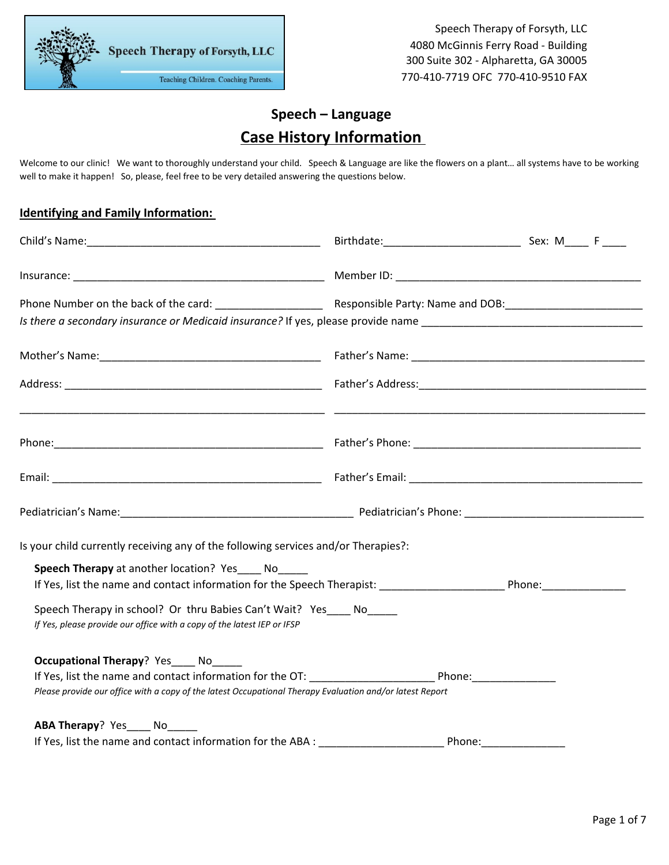**Speech Therapy of Forsyth, LLC** Teaching Children. Coaching Parents.

### **Speech – Language Case History Information**

Welcome to our clinic! We want to thoroughly understand your child. Speech & Language are like the flowers on a plant... all systems have to be working well to make it happen! So, please, feel free to be very detailed answering the questions below.

#### **Identifying and Family Information:**

| Is your child currently receiving any of the following services and/or Therapies?:                                                              |  |  |
|-------------------------------------------------------------------------------------------------------------------------------------------------|--|--|
| Speech Therapy at another location? Yes____ No_____                                                                                             |  |  |
| If Yes, list the name and contact information for the Speech Therapist: Phone: Phone:                                                           |  |  |
| Speech Therapy in school? Or thru Babies Can't Wait? Yes____ No_____<br>If Yes, please provide our office with a copy of the latest IEP or IFSP |  |  |
| <b>Occupational Therapy</b> ? Yes No                                                                                                            |  |  |
| Please provide our office with a copy of the latest Occupational Therapy Evaluation and/or latest Report                                        |  |  |
| ABA Therapy? Yes No                                                                                                                             |  |  |
|                                                                                                                                                 |  |  |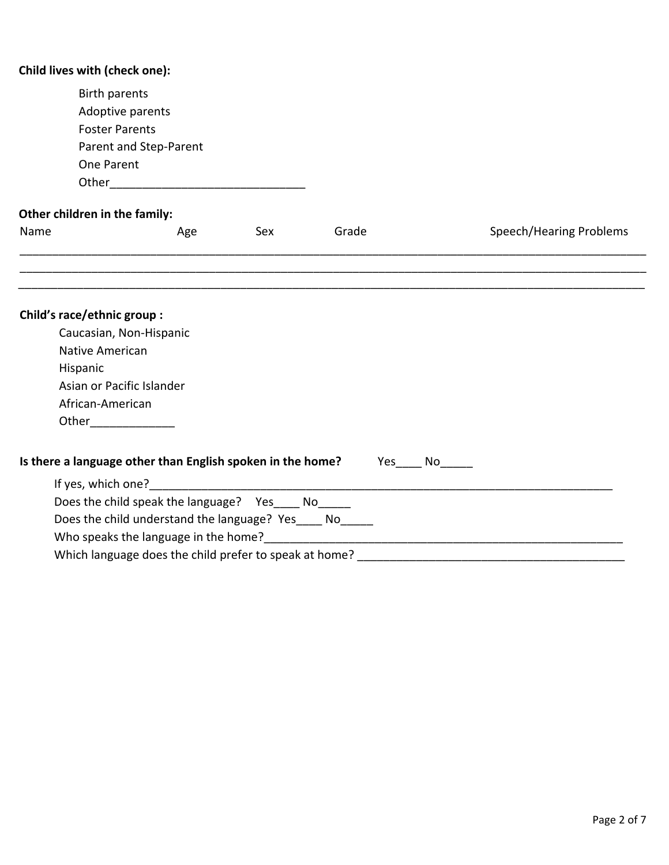| Child lives with (check one):      |                                                                     |     |                                                                                                                       |                         |
|------------------------------------|---------------------------------------------------------------------|-----|-----------------------------------------------------------------------------------------------------------------------|-------------------------|
| <b>Birth parents</b><br>One Parent | Adoptive parents<br><b>Foster Parents</b><br>Parent and Step-Parent |     |                                                                                                                       |                         |
| Other children in the family:      |                                                                     |     |                                                                                                                       |                         |
| Name                               | Age                                                                 | Sex | Grade                                                                                                                 | Speech/Hearing Problems |
|                                    |                                                                     |     |                                                                                                                       |                         |
|                                    |                                                                     |     |                                                                                                                       |                         |
| Child's race/ethnic group :        |                                                                     |     |                                                                                                                       |                         |
|                                    | Caucasian, Non-Hispanic                                             |     |                                                                                                                       |                         |
| Native American                    |                                                                     |     |                                                                                                                       |                         |
| Hispanic                           |                                                                     |     |                                                                                                                       |                         |
|                                    | Asian or Pacific Islander                                           |     |                                                                                                                       |                         |
| African-American                   |                                                                     |     |                                                                                                                       |                         |
|                                    | Other________________                                               |     |                                                                                                                       |                         |
|                                    | Is there a language other than English spoken in the home?          |     |                                                                                                                       |                         |
|                                    | If yes, which one?                                                  |     | <u> 1989 - Johann Barn, mars ann an t-Amhain an t-Amhain an t-Amhain an t-Amhain an t-Amhain an t-Amhain an t-Amh</u> |                         |
|                                    | Does the child speak the language?  Yes _____ No______              |     |                                                                                                                       |                         |
|                                    | Does the child understand the language? Yes____ No_____             |     |                                                                                                                       |                         |
|                                    |                                                                     |     |                                                                                                                       |                         |
|                                    | Which language does the child prefer to speak at home?              |     |                                                                                                                       |                         |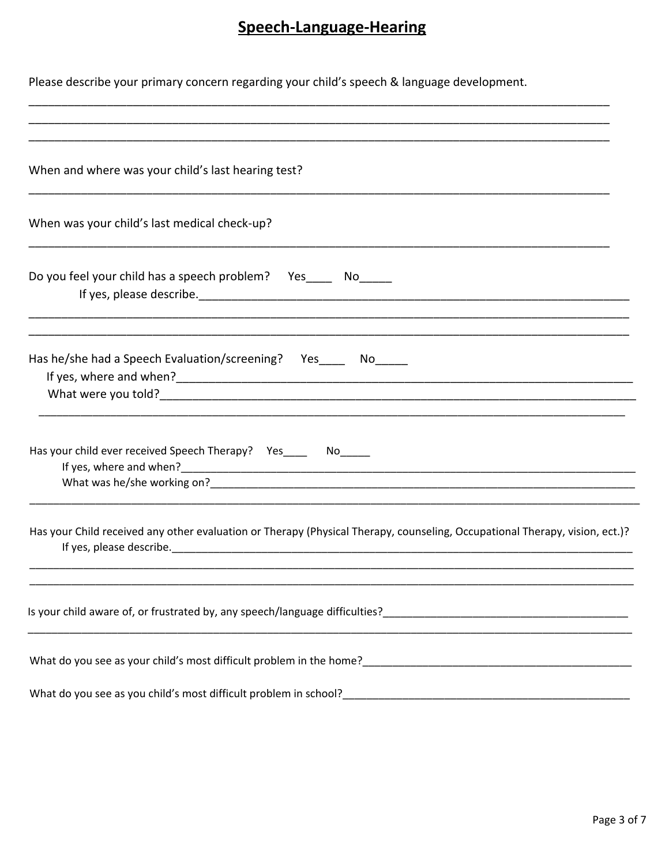# Speech-Language-Hearing

| Please describe your primary concern regarding your child's speech & language development.                                                                                                                                                                                                                                                                    |
|---------------------------------------------------------------------------------------------------------------------------------------------------------------------------------------------------------------------------------------------------------------------------------------------------------------------------------------------------------------|
|                                                                                                                                                                                                                                                                                                                                                               |
| When and where was your child's last hearing test?                                                                                                                                                                                                                                                                                                            |
| When was your child's last medical check-up?                                                                                                                                                                                                                                                                                                                  |
| Do you feel your child has a speech problem? Yes______ No_____                                                                                                                                                                                                                                                                                                |
| Has he/she had a Speech Evaluation/screening?  Yes_____  No_____                                                                                                                                                                                                                                                                                              |
| Has your child ever received Speech Therapy? Yes_______ No_____                                                                                                                                                                                                                                                                                               |
| Has your Child received any other evaluation or Therapy (Physical Therapy, counseling, Occupational Therapy, vision, ect.)?<br>If yes, please describe. The contract of the contract of the contract of the contract of the contract of the contract of the contract of the contract of the contract of the contract of the contract of the contract of the c |
|                                                                                                                                                                                                                                                                                                                                                               |
|                                                                                                                                                                                                                                                                                                                                                               |
|                                                                                                                                                                                                                                                                                                                                                               |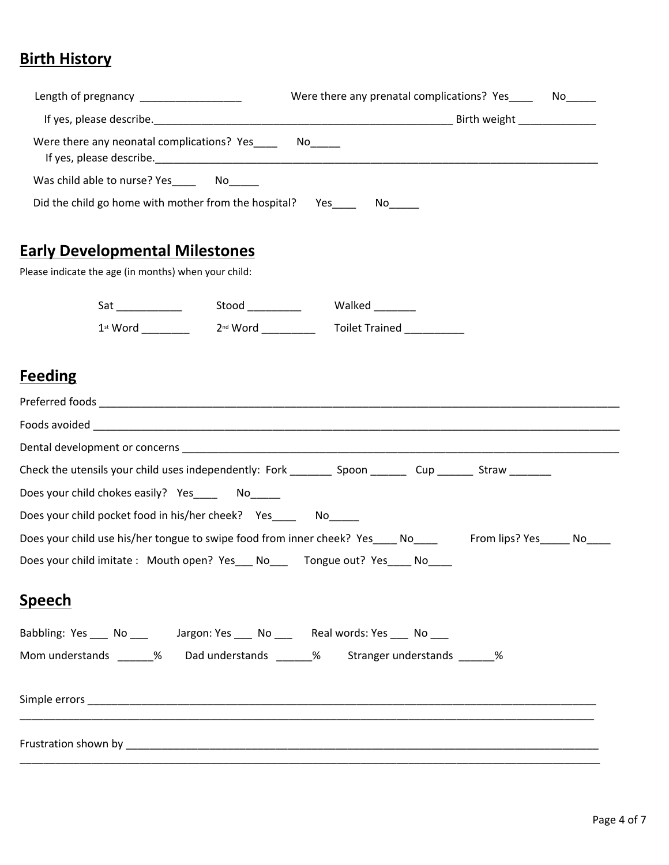## **Birth History**

| Were there any neonatal complications? Yes No<br>Was child able to nurse? Yes________ No______<br>Did the child go home with mother from the hospital?  Yes________ No_____<br><b>Early Developmental Milestones</b><br>Please indicate the age (in months) when your child:<br><b>Feeding</b> |
|------------------------------------------------------------------------------------------------------------------------------------------------------------------------------------------------------------------------------------------------------------------------------------------------|
|                                                                                                                                                                                                                                                                                                |
|                                                                                                                                                                                                                                                                                                |
|                                                                                                                                                                                                                                                                                                |
|                                                                                                                                                                                                                                                                                                |
|                                                                                                                                                                                                                                                                                                |
|                                                                                                                                                                                                                                                                                                |
|                                                                                                                                                                                                                                                                                                |
|                                                                                                                                                                                                                                                                                                |
|                                                                                                                                                                                                                                                                                                |
|                                                                                                                                                                                                                                                                                                |
|                                                                                                                                                                                                                                                                                                |
|                                                                                                                                                                                                                                                                                                |
|                                                                                                                                                                                                                                                                                                |
| Check the utensils your child uses independently: Fork __________ Spoon _________ Cup ________ Straw ________                                                                                                                                                                                  |
| Does your child chokes easily? Yes________ No______                                                                                                                                                                                                                                            |
| Does your child pocket food in his/her cheek? Yes ______ No                                                                                                                                                                                                                                    |
| Does your child use his/her tongue to swipe food from inner cheek? Yes____ No____ From lips? Yes____ No___                                                                                                                                                                                     |
| Does your child imitate: Mouth open? Yes No Tongue out? Yes No                                                                                                                                                                                                                                 |
| <b>Speech</b>                                                                                                                                                                                                                                                                                  |
| Babbling: Yes ____ No ____ Jargon: Yes ____ No ____ Real words: Yes ____ No ___                                                                                                                                                                                                                |
| Mom understands ______ % Dad understands ______ % Stranger understands ______ %                                                                                                                                                                                                                |
|                                                                                                                                                                                                                                                                                                |
|                                                                                                                                                                                                                                                                                                |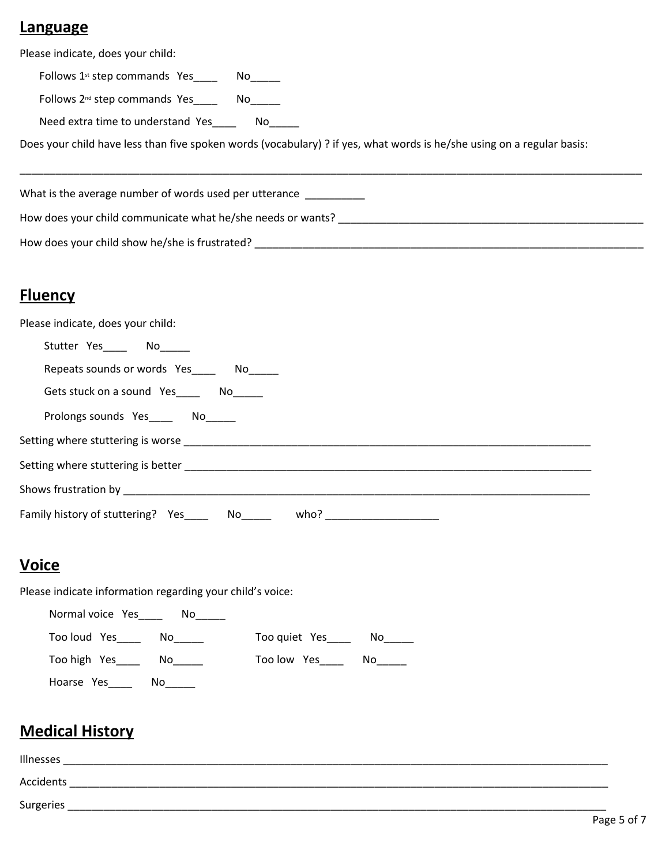#### **Language**

Please indicate, does your child:

Follows  $1^{st}$  step commands Yes  $\qquad \qquad$  No Follows 2<sup>nd</sup> step commands Yes\_\_\_\_\_ No\_\_\_\_\_ Need extra time to understand Yes\_\_\_\_\_\_ No\_\_\_\_\_ Does your child have less than five spoken words (vocabulary) ? if yes, what words is he/she using on a regular basis:

\_\_\_\_\_\_\_\_\_\_\_\_\_\_\_\_\_\_\_\_\_\_\_\_\_\_\_\_\_\_\_\_\_\_\_\_\_\_\_\_\_\_\_\_\_\_\_\_\_\_\_\_\_\_\_\_\_\_\_\_\_\_\_\_\_\_\_\_\_\_\_\_\_\_\_\_\_\_\_\_\_\_\_\_\_\_\_\_\_\_\_\_\_\_\_\_\_\_\_\_\_\_\_\_ What is the average number of words used per utterance How does your child communicate what he/she needs or wants? \_\_\_\_\_\_\_\_\_\_\_\_\_\_\_\_\_\_\_\_ How does your child show he/she is frustrated? \_\_\_\_\_\_\_\_\_\_\_\_\_\_\_\_\_\_\_\_\_\_\_\_\_\_\_\_\_\_\_\_\_\_\_\_\_\_\_\_\_\_\_\_\_\_\_\_\_\_\_\_\_\_\_\_\_\_\_\_\_\_\_\_\_

#### **Fluency**

| Please indicate, does your child:               |  |
|-------------------------------------------------|--|
| Stutter Yes______ No______                      |  |
| Repeats sounds or words Yes______ No_____       |  |
|                                                 |  |
| Prolongs sounds Yes_____ No_____                |  |
|                                                 |  |
|                                                 |  |
|                                                 |  |
| Family history of stuttering? Yes______ No_____ |  |

#### **Voice**

Please indicate information regarding your child's voice:



### **Medical History**

| Illnesses |  |
|-----------|--|
| Accidents |  |
| Surgeries |  |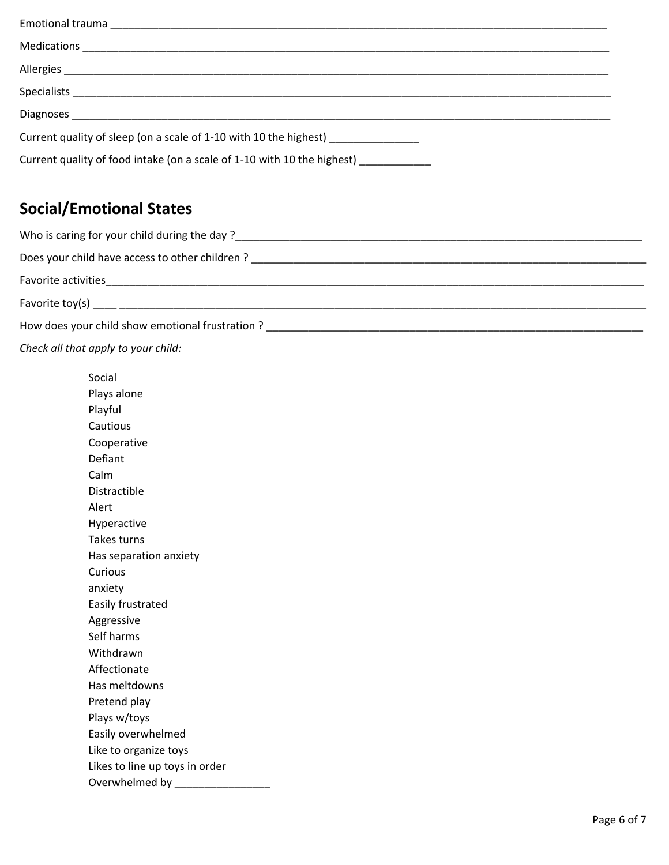| Medications                                                             |
|-------------------------------------------------------------------------|
|                                                                         |
|                                                                         |
|                                                                         |
| Current quality of sleep (on a scale of 1-10 with 10 the highest)       |
| Current quality of food intake (on a scale of 1-10 with 10 the highest) |

## **Social/Emotional States**

| Who is caring for your child during the day?                                                                   |
|----------------------------------------------------------------------------------------------------------------|
| Does your child have access to other children?                                                                 |
| Favorite activities                                                                                            |
| Favorite toy(s) and the state of the state of the state of the state of the state of the state of the state of |
| How does your child show emotional frustration?                                                                |

*Check all that apply to your child:* 

| Social                         |
|--------------------------------|
| Plays alone                    |
| Playful                        |
| Cautious                       |
| Cooperative                    |
| Defiant                        |
| Calm                           |
| Distractible                   |
| Alert                          |
| Hyperactive                    |
| Takes turns                    |
| Has separation anxiety         |
| Curious                        |
| anxiety                        |
| Easily frustrated              |
| Aggressive                     |
| Self harms                     |
| Withdrawn                      |
| Affectionate                   |
| Has meltdowns                  |
| Pretend play                   |
| Plays w/toys                   |
| Easily overwhelmed             |
| Like to organize toys          |
| Likes to line up toys in order |
| Overwhelmed by                 |